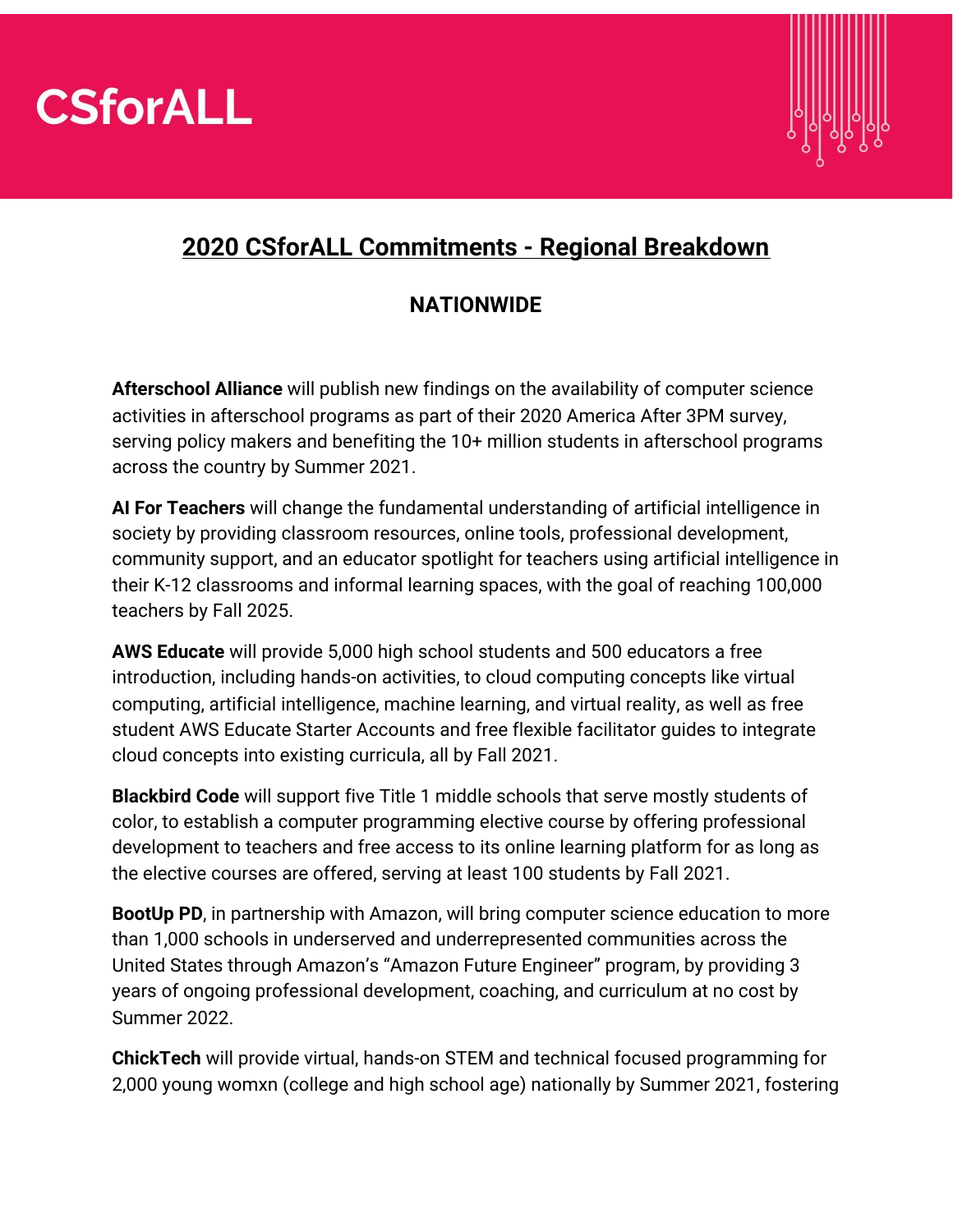



#### **2020 CSforALL Commitments - Regional Breakdown**

#### **NATIONWIDE**

**Afterschool Alliance** will publish new findings on the availability of computer science activities in afterschool programs as part of their 2020 America After 3PM survey, serving policy makers and benefiting the 10+ million students in afterschool programs across the country by Summer 2021.

**AI For Teachers** will change the fundamental understanding of artificial intelligence in society by providing classroom resources, online tools, professional development, community support, and an educator spotlight for teachers using artificial intelligence in their K-12 classrooms and informal learning spaces, with the goal of reaching 100,000 teachers by Fall 2025.

**AWS Educate** will provide 5,000 high school students and 500 educators a free introduction, including hands-on activities, to cloud computing concepts like virtual computing, artificial intelligence, machine learning, and virtual reality, as well as free student AWS Educate Starter Accounts and free flexible facilitator guides to integrate cloud concepts into existing curricula, all by Fall 2021.

**Blackbird Code** will support five Title 1 middle schools that serve mostly students of color, to establish a computer programming elective course by offering professional development to teachers and free access to its online learning platform for as long as the elective courses are offered, serving at least 100 students by Fall 2021.

**BootUp PD**, in partnership with Amazon, will bring computer science education to more than 1,000 schools in underserved and underrepresented communities across the United States through Amazon's "Amazon Future Engineer" program, by providing 3 years of ongoing professional development, coaching, and curriculum at no cost by Summer 2022.

**ChickTech** will provide virtual, hands-on STEM and technical focused programming for 2,000 young womxn (college and high school age) nationally by Summer 2021, fostering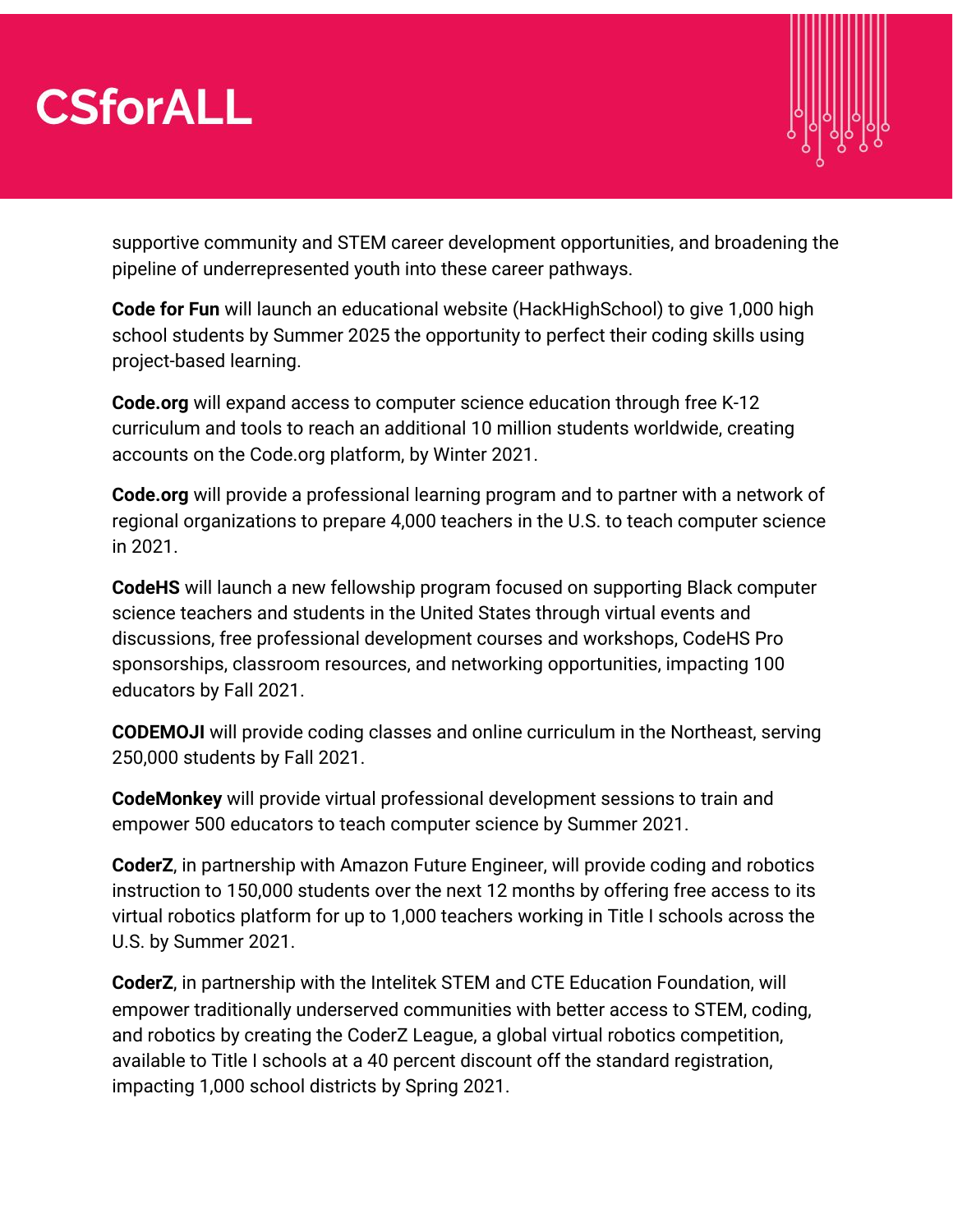

supportive community and STEM career development opportunities, and broadening the pipeline of underrepresented youth into these career pathways.

**Code for Fun** will launch an educational website (HackHighSchool) to give 1,000 high school students by Summer 2025 the opportunity to perfect their coding skills using project-based learning.

**Code.org** will expand access to computer science education through free K-12 curriculum and tools to reach an additional 10 million students worldwide, creating accounts on the Code.org platform, by Winter 2021.

**Code.org** will provide a professional learning program and to partner with a network of regional organizations to prepare 4,000 teachers in the U.S. to teach computer science in 2021.

**CodeHS** will launch a new fellowship program focused on supporting Black computer science teachers and students in the United States through virtual events and discussions, free professional development courses and workshops, CodeHS Pro sponsorships, classroom resources, and networking opportunities, impacting 100 educators by Fall 2021.

**CODEMOJI** will provide coding classes and online curriculum in the Northeast, serving 250,000 students by Fall 2021.

**CodeMonkey** will provide virtual professional development sessions to train and empower 500 educators to teach computer science by Summer 2021.

**CoderZ**, in partnership with Amazon Future Engineer, will provide coding and robotics instruction to 150,000 students over the next 12 months by offering free access to its virtual robotics platform for up to 1,000 teachers working in Title I schools across the U.S. by Summer 2021.

**CoderZ**, in partnership with the Intelitek STEM and CTE Education Foundation, will empower traditionally underserved communities with better access to STEM, coding, and robotics by creating the CoderZ League, a global virtual robotics competition, available to Title I schools at a 40 percent discount off the standard registration, impacting 1,000 school districts by Spring 2021.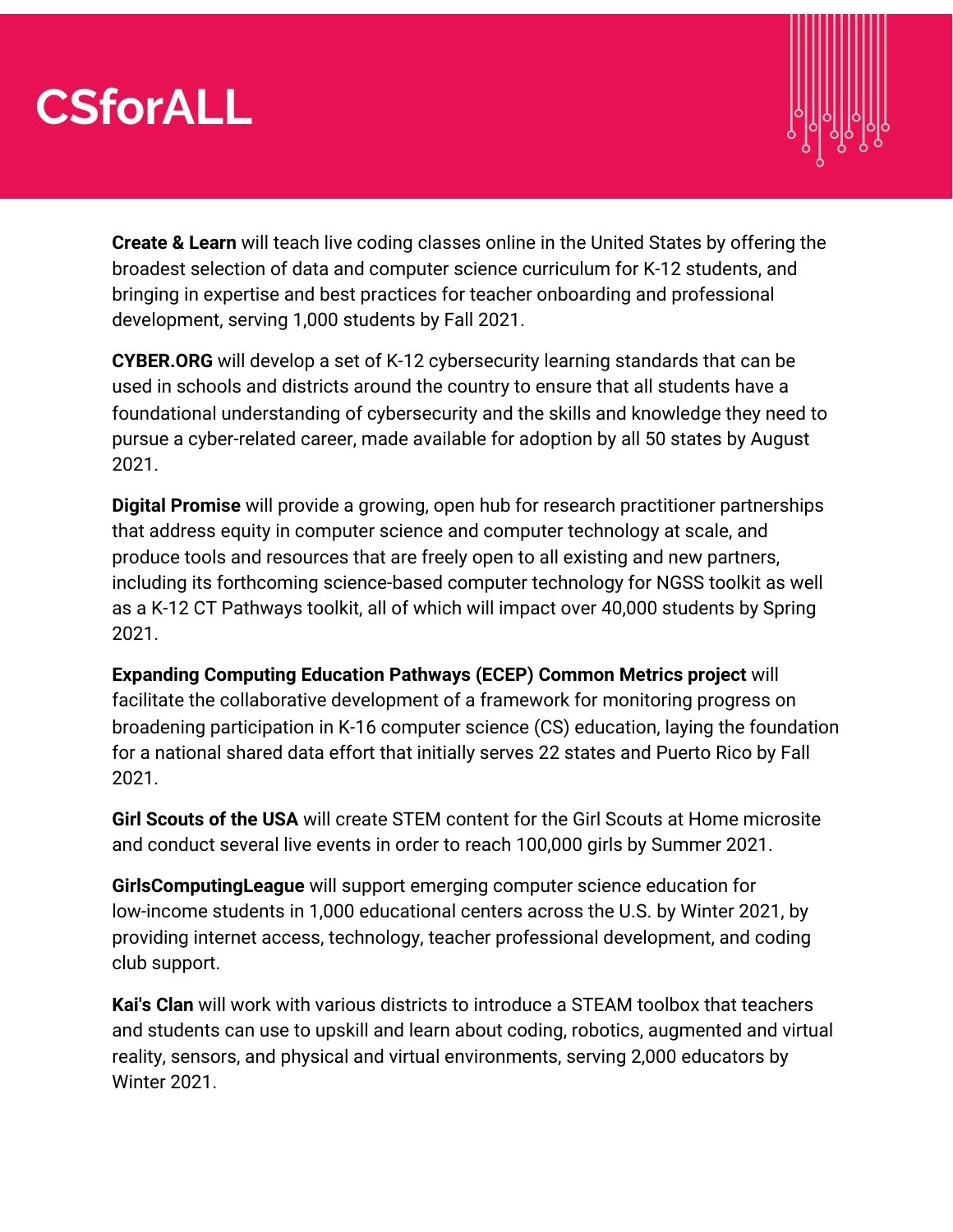

**Create & Learn** will teach live coding classes online in the United States by offering the broadest selection of data and computer science curriculum for K-12 students, and bringing in expertise and best practices for teacher onboarding and professional development, serving 1,000 students by Fall 2021.

**CYBER.ORG** will develop a set of K-12 cybersecurity learning standards that can be used in schools and districts around the country to ensure that all students have a foundational understanding of cybersecurity and the skills and knowledge they need to pursue a cyber-related career, made available for adoption by all 50 states by August 2021.

**Digital Promise** will provide a growing, open hub for research practitioner partnerships that address equity in computer science and computer technology at scale, and produce tools and resources that are freely open to all existing and new partners, including its forthcoming science-based computer technology for NGSS toolkit as well as a K-12 CT Pathways toolkit, all of which will impact over 40,000 students by Spring 2021.

**Expanding Computing Education Pathways (ECEP) Common Metrics project** will facilitate the collaborative development of a framework for monitoring progress on broadening participation in K-16 computer science (CS) education, laying the foundation for a national shared data effort that initially serves 22 states and Puerto Rico by Fall 2021.

**Girl Scouts of the USA** will create STEM content for the Girl Scouts at Home microsite and conduct several live events in order to reach 100,000 girls by Summer 2021.

**GirlsComputingLeague** will support emerging computer science education for low-income students in 1,000 educational centers across the U.S. by Winter 2021, by providing internet access, technology, teacher professional development, and coding club support.

**Kai's Clan** will work with various districts to introduce a STEAM toolbox that teachers and students can use to upskill and learn about coding, robotics, augmented and virtual reality, sensors, and physical and virtual environments, serving 2,000 educators by Winter 2021.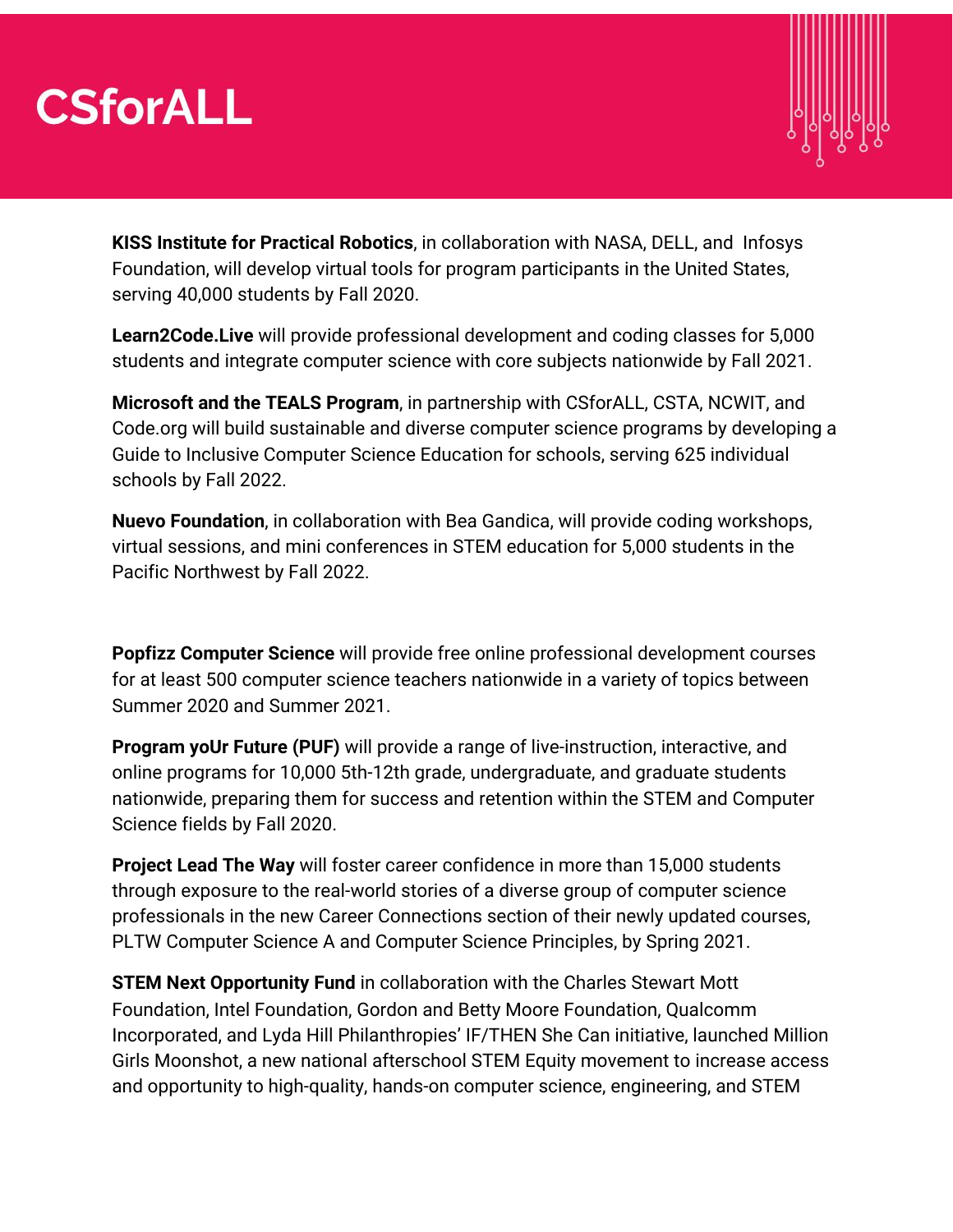

**KISS Institute for Practical Robotics**, in collaboration with NASA, DELL, and Infosys Foundation, will develop virtual tools for program participants in the United States, serving 40,000 students by Fall 2020.

**Learn2Code.Live** will provide professional development and coding classes for 5,000 students and integrate computer science with core subjects nationwide by Fall 2021.

**Microsoft and the TEALS Program**, in partnership with CSforALL, CSTA, NCWIT, and Code.org will build sustainable and diverse computer science programs by developing a Guide to Inclusive Computer Science Education for schools, serving 625 individual schools by Fall 2022.

**Nuevo Foundation**, in collaboration with Bea Gandica, will provide coding workshops, virtual sessions, and mini conferences in STEM education for 5,000 students in the Pacific Northwest by Fall 2022.

**Popfizz Computer Science** will provide free online professional development courses for at least 500 computer science teachers nationwide in a variety of topics between Summer 2020 and Summer 2021.

**Program yoUr Future (PUF)** will provide a range of live-instruction, interactive, and online programs for 10,000 5th-12th grade, undergraduate, and graduate students nationwide, preparing them for success and retention within the STEM and Computer Science fields by Fall 2020.

**Project Lead The Way** will foster career confidence in more than 15,000 students through exposure to the real-world stories of a diverse group of computer science professionals in the new Career Connections section of their newly updated courses, PLTW Computer Science A and Computer Science Principles, by Spring 2021.

**STEM Next Opportunity Fund** in collaboration with the Charles Stewart Mott Foundation, Intel Foundation, Gordon and Betty Moore Foundation, Qualcomm Incorporated, and Lyda Hill Philanthropies' IF/THEN She Can initiative, launched Million Girls Moonshot, a new national afterschool STEM Equity movement to increase access and opportunity to high-quality, hands-on computer science, engineering, and STEM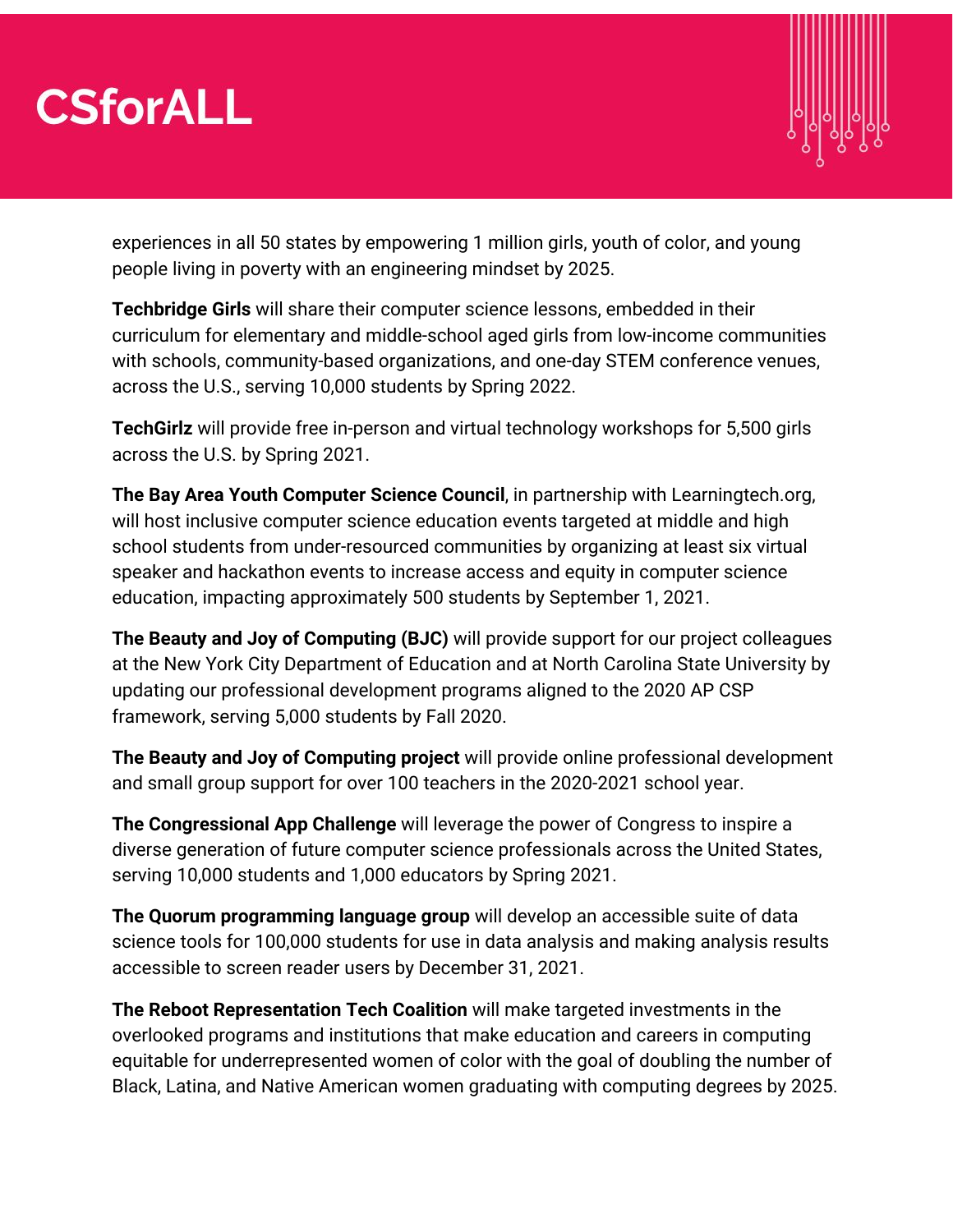

experiences in all 50 states by empowering 1 million girls, youth of color, and young people living in poverty with an engineering mindset by 2025.

**Techbridge Girls** will share their computer science lessons, embedded in their curriculum for elementary and middle-school aged girls from low-income communities with schools, community-based organizations, and one-day STEM conference venues, across the U.S., serving 10,000 students by Spring 2022.

**TechGirlz** will provide free in-person and virtual technology workshops for 5,500 girls across the U.S. by Spring 2021.

**The Bay Area Youth Computer Science Council**, in partnership with Learningtech.org, will host inclusive computer science education events targeted at middle and high school students from under-resourced communities by organizing at least six virtual speaker and hackathon events to increase access and equity in computer science education, impacting approximately 500 students by September 1, 2021.

**The Beauty and Joy of Computing (BJC)** will provide support for our project colleagues at the New York City Department of Education and at North Carolina State University by updating our professional development programs aligned to the 2020 AP CSP framework, serving 5,000 students by Fall 2020.

**The Beauty and Joy of Computing project** will provide online professional development and small group support for over 100 teachers in the 2020-2021 school year.

**The Congressional App Challenge** will leverage the power of Congress to inspire a diverse generation of future computer science professionals across the United States, serving 10,000 students and 1,000 educators by Spring 2021.

**The Quorum programming language group** will develop an accessible suite of data science tools for 100,000 students for use in data analysis and making analysis results accessible to screen reader users by December 31, 2021.

**The Reboot Representation Tech Coalition** will make targeted investments in the overlooked programs and institutions that make education and careers in computing equitable for underrepresented women of color with the goal of doubling the number of Black, Latina, and Native American women graduating with computing degrees by 2025.